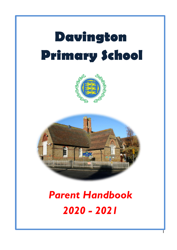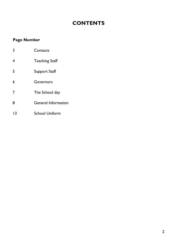# **CONTENTS**

## **Page Number**

| 3  | Contacts                   |
|----|----------------------------|
| 4  | <b>Teaching Staff</b>      |
| 5  | <b>Support Staff</b>       |
| 6  | Governors                  |
| 7  | The School day             |
| 8  | <b>General Information</b> |
| 13 | <b>School Uniform</b>      |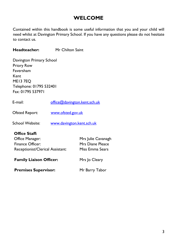## **WELCOME**

Contained within this handbook is some useful information that you and your child will need whilst at Davington Primary School. If you have any questions please do not hesitate to contact us.

**Headteacher:** Mr Chilton Saint

Davington Primary School Priory Row Faversham Kent ME13 7EQ Telephone: 01795 532401 Fax: 01795 537971

| E-mail:        | office@davington.kent.sch.uk |  |
|----------------|------------------------------|--|
| Ofsted Report: | www.ofsted.gov.uk            |  |
|                |                              |  |

School Website: [www.davington.kent.sch.uk](http://www.davington.kent.sch.uk/)

## **Office Staff:**

| Office Manager:                  | Mrs Julie Cavanagh      |
|----------------------------------|-------------------------|
| <b>Finance Officer:</b>          | <b>Mrs Diane Pleace</b> |
| Receptionist/Clerical Assistant: | Miss Emma Sears         |
| <b>Family Liaison Officer:</b>   | Mrs Jo Cleary           |

**Premises Supervisor:** Mr Barry Tabor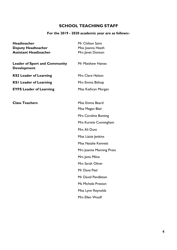## **SCHOOL TEACHING STAFF**

## **For the 2019 - 2020 academic year are as follows:-**

| <b>Headteacher</b>                                         | Mr Chilton Saint            |  |
|------------------------------------------------------------|-----------------------------|--|
| <b>Deputy Headteacher</b>                                  | Miss Joanna Heath           |  |
| <b>Assistant Headteacher</b>                               | Mrs Janet Davison           |  |
| <b>Leader of Sport and Community</b><br><b>Development</b> | Mr Matthew Haines           |  |
| <b>KS2 Leader of Learning</b>                              | Mrs Clare Halson            |  |
| <b>KSI Leader of Learning</b>                              | Mrs Emma Bishop             |  |
| <b>EYFS Leader of Learning</b>                             | Miss Kathryn Morgan         |  |
| <b>Class Teachers</b>                                      | Miss Emma Beard             |  |
|                                                            | Miss Megan Blair            |  |
|                                                            | <b>Mrs Caroline Bunting</b> |  |
|                                                            | Mrs Kurstie Cunningham      |  |
|                                                            | Mrs Ali Dunt                |  |
|                                                            | Miss Lizzie Jenkins         |  |
|                                                            | <b>Miss Natalie Kennett</b> |  |
|                                                            | Mrs Joanne Manning Press    |  |
|                                                            | Mrs Janis Milne             |  |
|                                                            | Mrs Sarah Oliver            |  |
|                                                            | Mr Dave Peal                |  |
|                                                            | Mr David Pendleton          |  |
|                                                            | <b>Ms Michele Preston</b>   |  |
|                                                            | Miss Lynn Reynolds          |  |
|                                                            | Mrs Ellen Woolf             |  |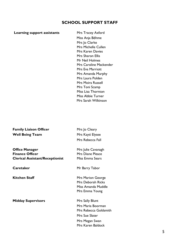#### **SCHOOL SUPPORT STAFF**

#### **Learning support assistants** Mrs Tracey Axford

Miss Anja Böhme Mrs Jo Clarke Mrs Michelle Cullen Mrs Karen Davies Mrs Sharon Ellis Mr Neil Holmes Mrs Caroline Mackender Mrs Eva Marriott Mrs Amanda Murphy Mrs Laura Polden Mrs Moira Russell Mrs Toni Scamp Miss Lisa Thornton Miss Abbie Turner Mrs Sarah Wilkinson

| <b>Family Liaison Officer</b> | Mrs Jo Cleary      |
|-------------------------------|--------------------|
| <b>Well Being Team</b>        | Mrs Kayti Elysee   |
|                               | Mrs Rebecca Fall   |
| <b>Office Manager</b>         | Mrs Julie Cavanagh |

**Finance Officer** Mrs Diane Pleace **Clerical Assistant/Receptionist** Miss Emma Sears

**Midday Supervisors** Mrs Sally Blunt

**Caretaker** Mr Barry Tabor

**Kitchen Staff** Mrs Marion George Mrs Deborah Ricks Miss Amanda Muddle Mrs Emma Young

> Mrs Maria Boorman Mrs Rebecca Goldsmith Mrs Sue Slater Mrs Megan Swan Mrs Karen Baldock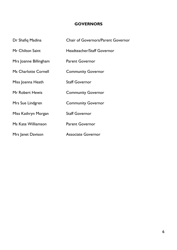#### **GOVERNORS**

| Dr Shafiq Madina            | <b>Chair of Governors/Parent Governor</b> |
|-----------------------------|-------------------------------------------|
| Mr Chilton Saint            | Headteacher/Staff Governor                |
| Mrs Joanne Billingham       | <b>Parent Governor</b>                    |
| <b>Ms Charlotte Cornell</b> | <b>Community Governor</b>                 |
| Miss Joanna Heath           | <b>Staff Governor</b>                     |
| Mr Robert Hewis             | <b>Community Governor</b>                 |
| Mrs Sue Lindgren            | <b>Community Governor</b>                 |
| Miss Kathryn Morgan         | <b>Staff Governor</b>                     |
| Ms Kate Williamson          | <b>Parent Governor</b>                    |
| Mrs Janet Davison           | <b>Associate Governor</b>                 |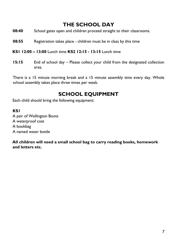## **THE SCHOOL DAY**

- **08:40** School gates open and children proceed straight to their classrooms.
- **08:55** Registration takes place children must be in class by this time
- **KS1 12:00 – 13:00** Lunch time **KS2 12:15 - 13:15** Lunch time
- **15:15** End of school day Please collect your child from the designated collection area.

There is a 15 minute morning break and a 15 minute assembly time every day. Whole school assembly takes place three times per week.

## **SCHOOL EQUIPMENT**

Each child should bring the following equipment:

#### **KS1**

A pair of Wellington Boots A waterproof coat A bookbag A named water bottle

**All children will need a small school bag to carry reading books, homework and letters etc.**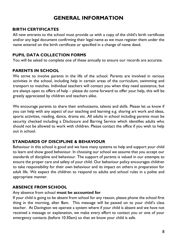## **GENERAL INFORMATION**

#### **BIRTH CERTIFICATES**

All new entrants to the school must provide us with a copy of the child's birth certificate and/or any legal document confirming their legal name as we must register them under the name entered on the birth certificate or specified in a change of name deed.

#### **PUPIL DATA COLLECTION FORMS**

You will be asked to complete one of these annually to ensure our records are accurate.

#### **PARENTS IN SCHOOL**

We strive to involve parents in the life of the school. Parents are involved in various activities in the school, including help in certain areas of the curriculum, swimming and transport to matches. Individual teachers will contact you when they need assistance, but are always open to offers of help – please do come forward to offer your help, this will be greatly appreciated by children and teachers alike.

We encourage parents to share their enthusiasms, talents and skills. Please let us know if you can help with any aspect of our teaching and learning e.g. sharing art work and ideas, sports activities, reading, dance, drama etc. All adults in school including parents must be security checked including a Disclosure and Barring Service which identifies adults who should not be allowed to work with children. Please contact the office if you wish to help out in school.

## **STANDARDS OF DISCIPLINE & BEHAVIOUR**

Behaviour in this school is good and we have many systems to help and support your child to learn and show good behaviour. In choosing our school we assume that you accept our standards of discipline and behaviour. The support of parents is valued in our attempts to ensure the proper care and safety of your child. Our behaviour policy encourages children to take responsibility for their own behaviour and its impact on others in preparation for adult life. We expect the children to respond to adults and school rules in a polite and appropriate manner.

## **ABSENCE FROM SCHOOL**

#### Any absence from school **must be accounted for**.

If your child is going to be absent from school for any reason, please phone the school first thing in the morning, after 8am. This message will be passed on to your child's class teacher. At Davington we operate a system where if your child is absent and we have not received a message or explanation, we make every effort to contact you or one of your emergency contacts (before 10:30am) so that *we* know your child is safe.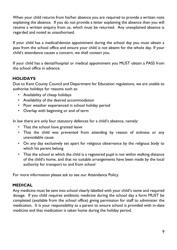When your child returns from his/her absence you are required to provide a written note explaining the absence. If you do not provide a letter explaining the absence then you will receive a written enquiry from us, which must be returned. Any unexplained absence is regarded and noted as unauthorised.

If your child has a medical/dentist appointment during the school day you must obtain a pass from the school office and ensure your child is not absent for the whole day. If your child's attendance causes a concern, we shall contact you.

If your child has a dental/hospital or medical appointment you MUST obtain a PASS from the school office in advance.

## **HOLIDAYS**

Due to Kent County Council and Department for Education regulations, we are unable to authorise holidays for reasons such as:

- Availability of cheap holidays
- Availability of the desired accommodation
- Poor weather experienced in school holiday period
- Overlap with beginning or end of term

In law there are only four statutory defences for a child's absence, namely:

- That the school have granted leave
- That the child was prevented from attending by reason of sickness or any unavoidable cause
- On any day exclusively set apart for religious observance by the religious body to which his parent belong
- That the school at which the child is a registered pupil is not within walking distance of the child's home, and that no suitable arrangements have been made by the local authority for transport to and from school

For more information please ask to see our Attendance Policy.

## **MEDICAL**

Any medicine must be sent into school clearly labelled with your child's name and required dosage. If you child requires antibiotic medicine during the school day a form MUST be completed (available from the school office) giving permission for staff to administer the medication. It is your responsibility as a parent to ensure school is provided with in-date medicine and that medication is taken home during the holiday period.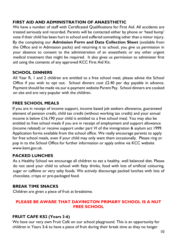## **FIRST AID AND ADMINISTRATION OF ANAESTHETIC**

We have a number of staff with Certificated Qualifications for First Aid. All accidents are treated seriously and recorded. Parents will be contacted either by phone or 'head bump' note if their child has been hurt in school and suffered something other than a minor injury. By the completing our **Admission Form and Data Collection Sheet** (available from the Office and in Admission packs) and returning it to school, you give us permission in your absence to consent to the administration of an anaesthetic or any other urgent medical treatment that might be required. It also gives us permission to administer first aid using the contents of any approved KCC First Aid Kit.

## **SCHOOL DINNERS**

All Year R, 1 and 2 children are entitled to a free school meal, please advise the School Office if you wish to opt out. School dinners cost  $£2.40$  per day payable in advance. Payment should be made via our e-payment website Parent Pay. School dinners are cooked on site and are very popular with the children.

## **FREE SCHOOL MEALS**

If you are in receipt of income support, income based job seekers allowance, guaranteed element of pension credit, child tax credit (without working tax credit) and your annual income is below £16,190 your child is entitled to a free school meal. You may also be entitled to free school meals if you are in receipt of employment and support allowance (income related) or receive support under part VI of the immigration & asylum act 1999. Application forms available from the school office. We really encourage parents to apply for free school meals, even if your child may only want them occasionally. Please ring or pop in to the School Office for further information or apply online via KCC website www.kent.gov.uk.

## **PACKED LUNCHES**

As a Healthy School we encourage all children to eat a healthy, well balanced diet. Please do not send your child to school with fizzy drinks, food with lots of artificial colouring, sugar or caffeine or very salty foods. We actively discourage packed lunches with lots of chocolate, crisps or pre-packaged food.

## **BREAK TIME SNACKS**

Children are given a piece of fruit at breaktime.

## **PLEASE BE AWARE THAT DAVINGTON PRIMARY SCHOOL IS A NUT FREE SCHOOL**

## **FRUIT CAFE KS2 (Years 3-6)**

We have our very own Fruit Café on our school playground. This is an opportunity for children in Years 3-6 to have a piece of fruit during their break time as they no longer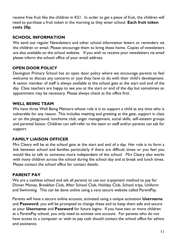receive free fruit like the children in KS1. In order to get a piece of fruit, the children will need to purchase a fruit token in the morning as they enter school. **Each fruit token costs 20p**.

## **SCHOOL INFORMATION**

We send out regular Newsletters and other school information letters or reminders via the children or email. Please encourage them to bring these home. Copies of newsletters are also available on the school website. If you wish to receive your newsletters via email please inform the school office of your email address.

## **OPEN DOOR POLICY**

Davington Primary School has an open door policy where we encourage parents to feel welcome to discuss any concerns or joys they have to do with their child's development. A senior member of staff is always available at the school gate at the start and end of the day. Class teachers are happy to see you at the start or end of the day but sometimes an appointment may be necessary. Please always check at the office first.

## **WELL BEING TEAM**

We have three Well Being Mentors whose role it is to support a child at any time who is vulnerable for any reason. This includes meeting and greeting at the gate, support in class or on the playground, lunchtime club, anger management, social skills, self-esteem groups and parental liaison. Children can self-refer to the team or staff and/or parents can ask for support.

## **FAMILY LIAISON OFFICER**

Mrs Cleary will be at the school gate at the start and end of a day. Her role is to form a link between school and families particularly if there are difficult times or you feel you would like to talk to someone more independent of the school. Mrs Cleary also works with many children across the school during the school day and at break and lunch times. Please contact the school office for contact details.

#### **PARENT PAY**

We are a cashless school and ask all parents to use our e-payment method to pay for Dinner Money, Breakfast Club, After School Club, Holiday Club, School trips, Uniform and Swimming. This can be done online using a very secure website called ParentPay.

Parents will have a secure online account, activated using a unique activation **Username** and **Password**; you will be prompted to change these and to keep them safe and secure as your **Username** and **Password** for future logins. If you have two or more children at a ParentPay school, you only need to activate one account. For parents who do not have access to a computer or wish to pay cash should contact the school office for advice and assistance.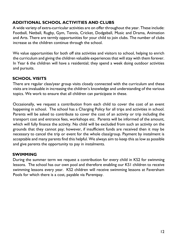## **ADDITIONAL SCHOOL ACTIVITIES AND CLUBS**

A wide variety of extra-curricular activities are on offer throughout the year. These include: Football, Netball, Rugby, Gym, Tennis, Cricket, Dodgeball, Music and Drama, Animation and Arts. There are termly opportunities for your child to join clubs. The number of clubs increase as the children continue through the school.

We value opportunities for both off site activities and visitors to school, helping to enrich the curriculum and giving the children valuable experiences that will stay with them forever. In Year 6 the children will have a residential; they spend a week doing outdoor activities and pursuits.

## **SCHOOL VISITS**

There are regular class/year group visits closely connected with the curriculum and these visits are invaluable in increasing the children's knowledge and understanding of the various topics. We work to ensure that all children can participate in these.

Occasionally, we request a contribution from each child to cover the cost of an event happening in school. The school has a Charging Policy for all trips and activities in school. Parents will be asked to contribute to cover the cost of an activity or trip including the transport cost and entrance fees, workshops etc. Parents will be informed of the amount, which will fully finance the activity. No child will be excluded from such an activity on the grounds that they cannot pay; however, if insufficient funds are received then it may be necessary to cancel the trip or event for the whole class/group. Payment by instalment is acceptable and many parents find this helpful. We always aim to keep this as low as possible and give parents the opportunity to pay in instalments.

## **SWIMMING**

During the summer term we request a contribution for every child in KS2 for swimming lessons. The school has our own pool and therefore enabling our KS1 children to receive swimming lessons every year. KS2 children will receive swimming lessons at Faversham Pools for which there is a cost, payable via Parentpay.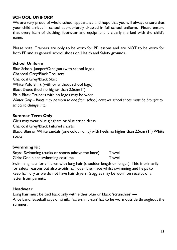## **SCHOOL UNIFORM**

We are very proud of whole school appearance and hope that you will always ensure that your child arrives in school appropriately dressed in full school uniform. Please ensure that every item of clothing, footwear and equipment is clearly marked with the child's name.

Please note: Trainers are only to be worn for PE lessons and are NOT to be worn for both PE and as general school shoes on Health and Safety grounds.

#### **School Uniform**

Blue School Jumper/Cardigan (with school logo) Charcoal Grey/Black Trousers Charcoal Grey/Black Skirt White Polo Shirt (with or without school logo) Black Shoes (heel no higher than 2.5cm/1") Plain Black Trainers with no logos may be worn *Winter Only – Boots may be worn to and from school, however school shoes must be brought to school to change into.*

#### **Summer Term Only**

Girls may wear blue gingham or blue stripe dress Charcoal Grey/Black tailored shorts Black, Blue or White sandals (one colour only) with heels no higher than 2.5cm (1") White socks

## **Swimming Kit**

Boys: Swimming trunks or shorts (above the knee) Towel Girls: One piece swimming costume Towel

Swimming hats for children with long hair (shoulder length or longer). This is primarily for safety reasons but also avoids hair over their face whilst swimming and helps to keep hair dry as we do not have hair dryers. Goggles may be worn on receipt of a letter from parents.

#### **Headwear**

Long hair must be tied back only with either blue or black 'scrunchies' **—** Alice band. Baseball caps or similar 'safe-shirt -sun' hat to be worn outside throughout the summer.